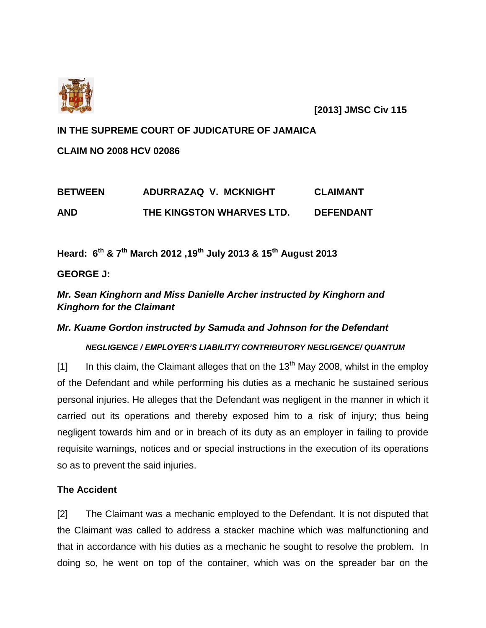

**[2013] JMSC Civ 115**

## **IN THE SUPREME COURT OF JUDICATURE OF JAMAICA**

**CLAIM NO 2008 HCV 02086**

| <b>BETWEEN</b> | ADURRAZAQ V. MCKNIGHT     | <b>CLAIMANT</b>  |
|----------------|---------------------------|------------------|
| AND            | THE KINGSTON WHARVES LTD. | <b>DEFENDANT</b> |

**Heard: 6 th & 7th March 2012 ,19th July 2013 & 15th August 2013**

**GEORGE J:**

*Mr. Sean Kinghorn and Miss Danielle Archer instructed by Kinghorn and Kinghorn for the Claimant*

# *Mr. Kuame Gordon instructed by Samuda and Johnson for the Defendant*

# *NEGLIGENCE / EMPLOYER'S LIABILITY/ CONTRIBUTORY NEGLIGENCE/ QUANTUM*

[1] In this claim, the Claimant alleges that on the  $13<sup>th</sup>$  May 2008, whilst in the employ of the Defendant and while performing his duties as a mechanic he sustained serious personal injuries. He alleges that the Defendant was negligent in the manner in which it carried out its operations and thereby exposed him to a risk of injury; thus being negligent towards him and or in breach of its duty as an employer in failing to provide requisite warnings, notices and or special instructions in the execution of its operations so as to prevent the said injuries.

# **The Accident**

[2] The Claimant was a mechanic employed to the Defendant. It is not disputed that the Claimant was called to address a stacker machine which was malfunctioning and that in accordance with his duties as a mechanic he sought to resolve the problem. In doing so, he went on top of the container, which was on the spreader bar on the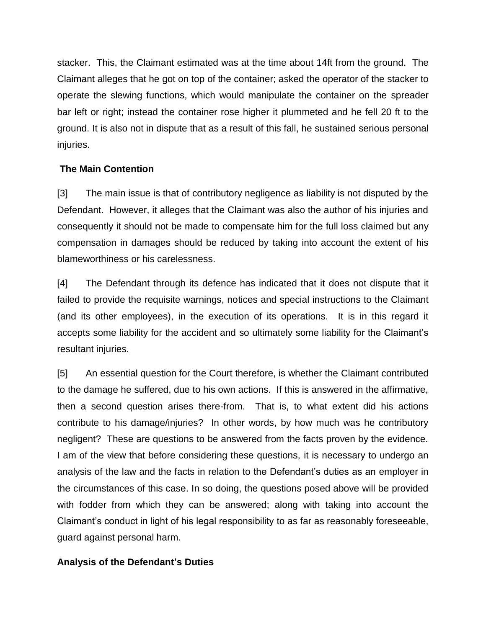stacker. This, the Claimant estimated was at the time about 14ft from the ground. The Claimant alleges that he got on top of the container; asked the operator of the stacker to operate the slewing functions, which would manipulate the container on the spreader bar left or right; instead the container rose higher it plummeted and he fell 20 ft to the ground. It is also not in dispute that as a result of this fall, he sustained serious personal injuries.

# **The Main Contention**

[3] The main issue is that of contributory negligence as liability is not disputed by the Defendant. However, it alleges that the Claimant was also the author of his injuries and consequently it should not be made to compensate him for the full loss claimed but any compensation in damages should be reduced by taking into account the extent of his blameworthiness or his carelessness.

[4] The Defendant through its defence has indicated that it does not dispute that it failed to provide the requisite warnings, notices and special instructions to the Claimant (and its other employees), in the execution of its operations. It is in this regard it accepts some liability for the accident and so ultimately some liability for the Claimant's resultant injuries.

[5] An essential question for the Court therefore, is whether the Claimant contributed to the damage he suffered, due to his own actions. If this is answered in the affirmative, then a second question arises there-from. That is, to what extent did his actions contribute to his damage/injuries? In other words, by how much was he contributory negligent? These are questions to be answered from the facts proven by the evidence. I am of the view that before considering these questions, it is necessary to undergo an analysis of the law and the facts in relation to the Defendant's duties as an employer in the circumstances of this case. In so doing, the questions posed above will be provided with fodder from which they can be answered; along with taking into account the Claimant's conduct in light of his legal responsibility to as far as reasonably foreseeable, guard against personal harm.

# **Analysis of the Defendant's Duties**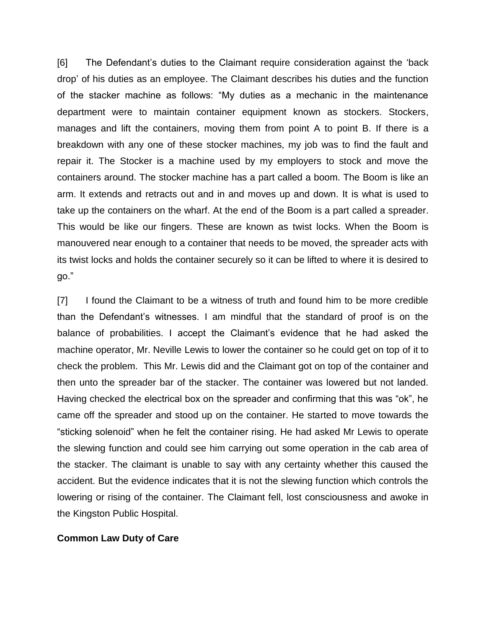[6] The Defendant's duties to the Claimant require consideration against the 'back drop' of his duties as an employee. The Claimant describes his duties and the function of the stacker machine as follows: "My duties as a mechanic in the maintenance department were to maintain container equipment known as stockers. Stockers, manages and lift the containers, moving them from point A to point B. If there is a breakdown with any one of these stocker machines, my job was to find the fault and repair it. The Stocker is a machine used by my employers to stock and move the containers around. The stocker machine has a part called a boom. The Boom is like an arm. It extends and retracts out and in and moves up and down. It is what is used to take up the containers on the wharf. At the end of the Boom is a part called a spreader. This would be like our fingers. These are known as twist locks. When the Boom is manouvered near enough to a container that needs to be moved, the spreader acts with its twist locks and holds the container securely so it can be lifted to where it is desired to go."

[7] I found the Claimant to be a witness of truth and found him to be more credible than the Defendant's witnesses. I am mindful that the standard of proof is on the balance of probabilities. I accept the Claimant's evidence that he had asked the machine operator, Mr. Neville Lewis to lower the container so he could get on top of it to check the problem. This Mr. Lewis did and the Claimant got on top of the container and then unto the spreader bar of the stacker. The container was lowered but not landed. Having checked the electrical box on the spreader and confirming that this was "ok", he came off the spreader and stood up on the container. He started to move towards the "sticking solenoid" when he felt the container rising. He had asked Mr Lewis to operate the slewing function and could see him carrying out some operation in the cab area of the stacker. The claimant is unable to say with any certainty whether this caused the accident. But the evidence indicates that it is not the slewing function which controls the lowering or rising of the container. The Claimant fell, lost consciousness and awoke in the Kingston Public Hospital.

#### **Common Law Duty of Care**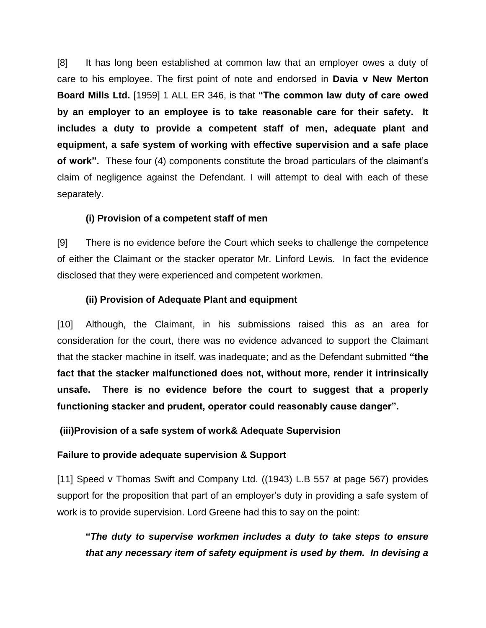[8] It has long been established at common law that an employer owes a duty of care to his employee. The first point of note and endorsed in **Davia v New Merton Board Mills Ltd.** [1959] 1 ALL ER 346, is that **"The common law duty of care owed by an employer to an employee is to take reasonable care for their safety. It includes a duty to provide a competent staff of men, adequate plant and equipment, a safe system of working with effective supervision and a safe place of work".** These four (4) components constitute the broad particulars of the claimant's claim of negligence against the Defendant. I will attempt to deal with each of these separately.

# **(i) Provision of a competent staff of men**

[9] There is no evidence before the Court which seeks to challenge the competence of either the Claimant or the stacker operator Mr. Linford Lewis. In fact the evidence disclosed that they were experienced and competent workmen.

# **(ii) Provision of Adequate Plant and equipment**

[10] Although, the Claimant, in his submissions raised this as an area for consideration for the court, there was no evidence advanced to support the Claimant that the stacker machine in itself, was inadequate; and as the Defendant submitted **"the fact that the stacker malfunctioned does not, without more, render it intrinsically unsafe. There is no evidence before the court to suggest that a properly functioning stacker and prudent, operator could reasonably cause danger".**

**(iii)Provision of a safe system of work& Adequate Supervision**

# **Failure to provide adequate supervision & Support**

[11] Speed v Thomas Swift and Company Ltd. ((1943) L.B 557 at page 567) provides support for the proposition that part of an employer's duty in providing a safe system of work is to provide supervision. Lord Greene had this to say on the point:

**"***The duty to supervise workmen includes a duty to take steps to ensure that any necessary item of safety equipment is used by them. In devising a*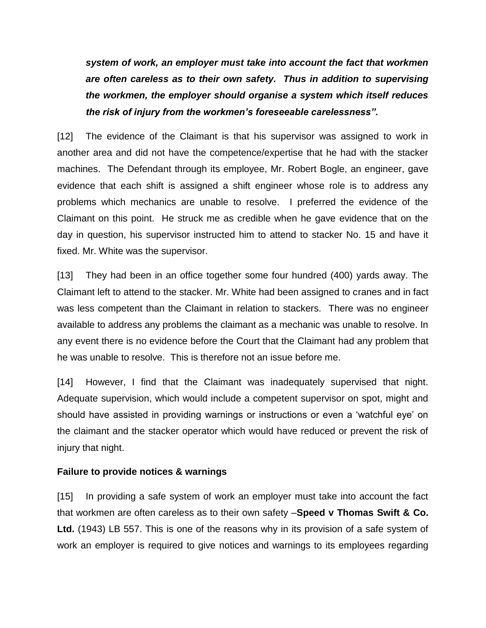*system of work, an employer must take into account the fact that workmen are often careless as to their own safety. Thus in addition to supervising the workmen, the employer should organise a system which itself reduces the risk of injury from the workmen's foreseeable carelessness".*

[12] The evidence of the Claimant is that his supervisor was assigned to work in another area and did not have the competence/expertise that he had with the stacker machines. The Defendant through its employee, Mr. Robert Bogle, an engineer, gave evidence that each shift is assigned a shift engineer whose role is to address any problems which mechanics are unable to resolve. I preferred the evidence of the Claimant on this point. He struck me as credible when he gave evidence that on the day in question, his supervisor instructed him to attend to stacker No. 15 and have it fixed. Mr. White was the supervisor.

[13] They had been in an office together some four hundred (400) yards away. The Claimant left to attend to the stacker. Mr. White had been assigned to cranes and in fact was less competent than the Claimant in relation to stackers. There was no engineer available to address any problems the claimant as a mechanic was unable to resolve. In any event there is no evidence before the Court that the Claimant had any problem that he was unable to resolve. This is therefore not an issue before me.

[14] However, I find that the Claimant was inadequately supervised that night. Adequate supervision, which would include a competent supervisor on spot, might and should have assisted in providing warnings or instructions or even a 'watchful eye' on the claimant and the stacker operator which would have reduced or prevent the risk of injury that night.

## **Failure to provide notices & warnings**

[15] In providing a safe system of work an employer must take into account the fact that workmen are often careless as to their own safety –**Speed v Thomas Swift & Co. Ltd.** (1943) LB 557. This is one of the reasons why in its provision of a safe system of work an employer is required to give notices and warnings to its employees regarding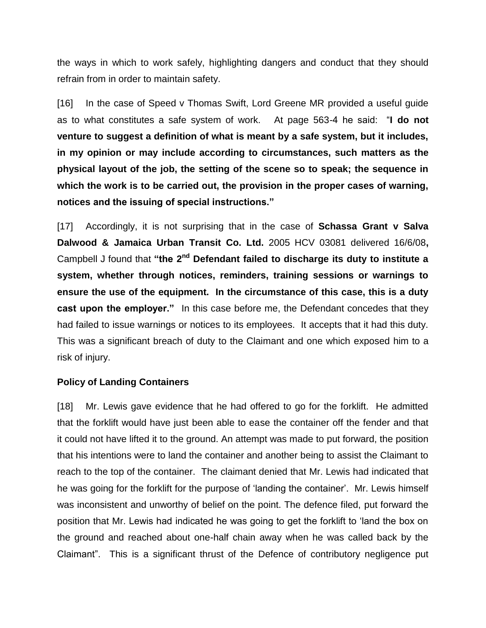the ways in which to work safely, highlighting dangers and conduct that they should refrain from in order to maintain safety.

[16] In the case of Speed v Thomas Swift, Lord Greene MR provided a useful guide as to what constitutes a safe system of work. At page 563-4 he said: "**I do not venture to suggest a definition of what is meant by a safe system, but it includes, in my opinion or may include according to circumstances, such matters as the physical layout of the job, the setting of the scene so to speak; the sequence in which the work is to be carried out, the provision in the proper cases of warning, notices and the issuing of special instructions."**

[17] Accordingly, it is not surprising that in the case of **Schassa Grant v Salva Dalwood & Jamaica Urban Transit Co. Ltd.** 2005 HCV 03081 delivered 16/6/08**,** Campbell J found that "the 2<sup>nd</sup> Defendant failed to discharge its duty to institute a **system, whether through notices, reminders, training sessions or warnings to ensure the use of the equipment. In the circumstance of this case, this is a duty cast upon the employer."** In this case before me, the Defendant concedes that they had failed to issue warnings or notices to its employees. It accepts that it had this duty. This was a significant breach of duty to the Claimant and one which exposed him to a risk of injury.

## **Policy of Landing Containers**

[18] Mr. Lewis gave evidence that he had offered to go for the forklift. He admitted that the forklift would have just been able to ease the container off the fender and that it could not have lifted it to the ground. An attempt was made to put forward, the position that his intentions were to land the container and another being to assist the Claimant to reach to the top of the container. The claimant denied that Mr. Lewis had indicated that he was going for the forklift for the purpose of 'landing the container'. Mr. Lewis himself was inconsistent and unworthy of belief on the point. The defence filed, put forward the position that Mr. Lewis had indicated he was going to get the forklift to 'land the box on the ground and reached about one-half chain away when he was called back by the Claimant". This is a significant thrust of the Defence of contributory negligence put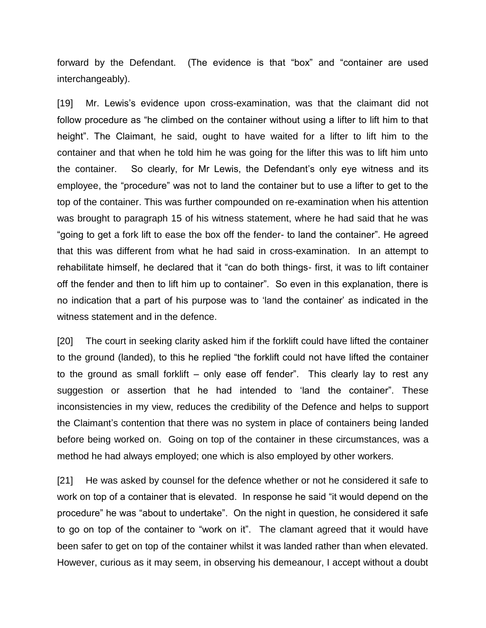forward by the Defendant. (The evidence is that "box" and "container are used interchangeably).

[19] Mr. Lewis's evidence upon cross-examination, was that the claimant did not follow procedure as "he climbed on the container without using a lifter to lift him to that height". The Claimant, he said, ought to have waited for a lifter to lift him to the container and that when he told him he was going for the lifter this was to lift him unto the container. So clearly, for Mr Lewis, the Defendant's only eye witness and its employee, the "procedure" was not to land the container but to use a lifter to get to the top of the container. This was further compounded on re-examination when his attention was brought to paragraph 15 of his witness statement, where he had said that he was "going to get a fork lift to ease the box off the fender- to land the container". He agreed that this was different from what he had said in cross-examination. In an attempt to rehabilitate himself, he declared that it "can do both things- first, it was to lift container off the fender and then to lift him up to container". So even in this explanation, there is no indication that a part of his purpose was to 'land the container' as indicated in the witness statement and in the defence.

[20] The court in seeking clarity asked him if the forklift could have lifted the container to the ground (landed), to this he replied "the forklift could not have lifted the container to the ground as small forklift – only ease off fender". This clearly lay to rest any suggestion or assertion that he had intended to 'land the container". These inconsistencies in my view, reduces the credibility of the Defence and helps to support the Claimant's contention that there was no system in place of containers being landed before being worked on. Going on top of the container in these circumstances, was a method he had always employed; one which is also employed by other workers.

[21] He was asked by counsel for the defence whether or not he considered it safe to work on top of a container that is elevated. In response he said "it would depend on the procedure" he was "about to undertake". On the night in question, he considered it safe to go on top of the container to "work on it". The clamant agreed that it would have been safer to get on top of the container whilst it was landed rather than when elevated. However, curious as it may seem, in observing his demeanour, I accept without a doubt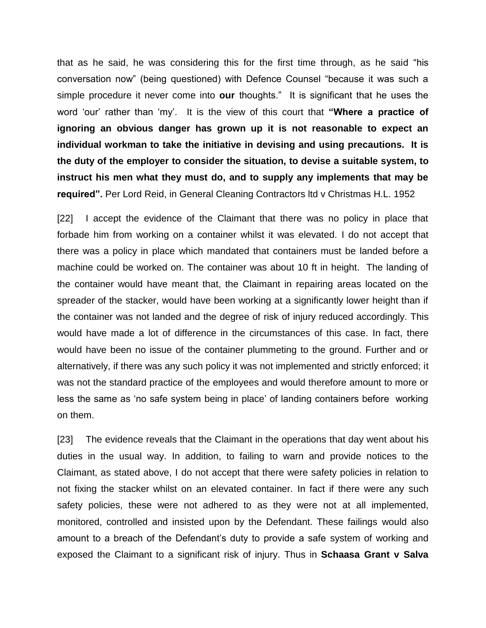that as he said, he was considering this for the first time through, as he said "his conversation now" (being questioned) with Defence Counsel "because it was such a simple procedure it never come into **our** thoughts." It is significant that he uses the word 'our' rather than 'my'. It is the view of this court that **"Where a practice of ignoring an obvious danger has grown up it is not reasonable to expect an individual workman to take the initiative in devising and using precautions. It is the duty of the employer to consider the situation, to devise a suitable system, to instruct his men what they must do, and to supply any implements that may be required".** Per Lord Reid, in General Cleaning Contractors ltd v Christmas H.L. 1952

[22] I accept the evidence of the Claimant that there was no policy in place that forbade him from working on a container whilst it was elevated. I do not accept that there was a policy in place which mandated that containers must be landed before a machine could be worked on. The container was about 10 ft in height. The landing of the container would have meant that, the Claimant in repairing areas located on the spreader of the stacker, would have been working at a significantly lower height than if the container was not landed and the degree of risk of injury reduced accordingly. This would have made a lot of difference in the circumstances of this case. In fact, there would have been no issue of the container plummeting to the ground. Further and or alternatively, if there was any such policy it was not implemented and strictly enforced; it was not the standard practice of the employees and would therefore amount to more or less the same as 'no safe system being in place' of landing containers before working on them.

[23] The evidence reveals that the Claimant in the operations that day went about his duties in the usual way. In addition, to failing to warn and provide notices to the Claimant, as stated above, I do not accept that there were safety policies in relation to not fixing the stacker whilst on an elevated container. In fact if there were any such safety policies, these were not adhered to as they were not at all implemented, monitored, controlled and insisted upon by the Defendant. These failings would also amount to a breach of the Defendant's duty to provide a safe system of working and exposed the Claimant to a significant risk of injury. Thus in **Schaasa Grant v Salva**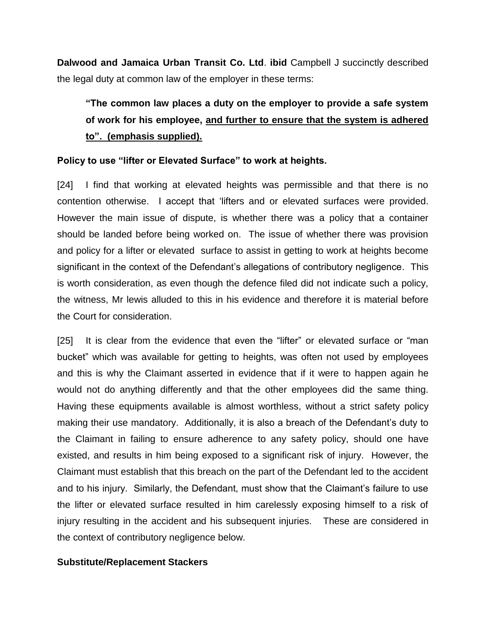**Dalwood and Jamaica Urban Transit Co. Ltd**. **ibid** Campbell J succinctly described the legal duty at common law of the employer in these terms:

# **"The common law places a duty on the employer to provide a safe system of work for his employee, and further to ensure that the system is adhered to". (emphasis supplied).**

## **Policy to use "lifter or Elevated Surface" to work at heights.**

[24] I find that working at elevated heights was permissible and that there is no contention otherwise. I accept that 'lifters and or elevated surfaces were provided. However the main issue of dispute, is whether there was a policy that a container should be landed before being worked on. The issue of whether there was provision and policy for a lifter or elevated surface to assist in getting to work at heights become significant in the context of the Defendant's allegations of contributory negligence. This is worth consideration, as even though the defence filed did not indicate such a policy, the witness, Mr lewis alluded to this in his evidence and therefore it is material before the Court for consideration.

[25] It is clear from the evidence that even the "lifter" or elevated surface or "man bucket" which was available for getting to heights, was often not used by employees and this is why the Claimant asserted in evidence that if it were to happen again he would not do anything differently and that the other employees did the same thing. Having these equipments available is almost worthless, without a strict safety policy making their use mandatory. Additionally, it is also a breach of the Defendant's duty to the Claimant in failing to ensure adherence to any safety policy, should one have existed, and results in him being exposed to a significant risk of injury. However, the Claimant must establish that this breach on the part of the Defendant led to the accident and to his injury. Similarly, the Defendant, must show that the Claimant's failure to use the lifter or elevated surface resulted in him carelessly exposing himself to a risk of injury resulting in the accident and his subsequent injuries. These are considered in the context of contributory negligence below.

## **Substitute/Replacement Stackers**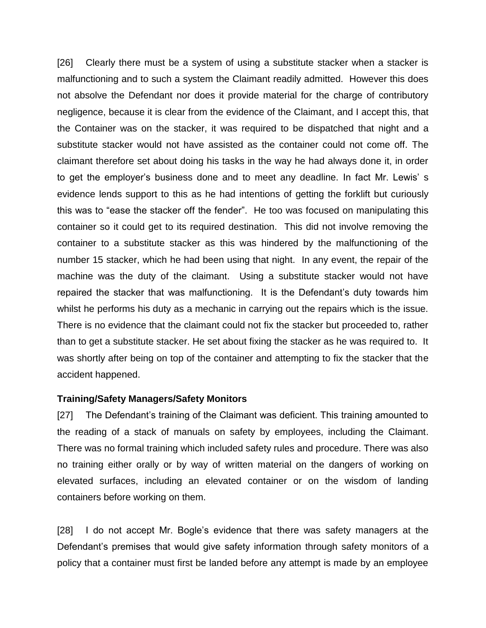[26] Clearly there must be a system of using a substitute stacker when a stacker is malfunctioning and to such a system the Claimant readily admitted. However this does not absolve the Defendant nor does it provide material for the charge of contributory negligence, because it is clear from the evidence of the Claimant, and I accept this, that the Container was on the stacker, it was required to be dispatched that night and a substitute stacker would not have assisted as the container could not come off. The claimant therefore set about doing his tasks in the way he had always done it, in order to get the employer's business done and to meet any deadline. In fact Mr. Lewis' s evidence lends support to this as he had intentions of getting the forklift but curiously this was to "ease the stacker off the fender". He too was focused on manipulating this container so it could get to its required destination. This did not involve removing the container to a substitute stacker as this was hindered by the malfunctioning of the number 15 stacker, which he had been using that night. In any event, the repair of the machine was the duty of the claimant. Using a substitute stacker would not have repaired the stacker that was malfunctioning. It is the Defendant's duty towards him whilst he performs his duty as a mechanic in carrying out the repairs which is the issue. There is no evidence that the claimant could not fix the stacker but proceeded to, rather than to get a substitute stacker. He set about fixing the stacker as he was required to. It was shortly after being on top of the container and attempting to fix the stacker that the accident happened.

#### **Training/Safety Managers/Safety Monitors**

[27] The Defendant's training of the Claimant was deficient. This training amounted to the reading of a stack of manuals on safety by employees, including the Claimant. There was no formal training which included safety rules and procedure. There was also no training either orally or by way of written material on the dangers of working on elevated surfaces, including an elevated container or on the wisdom of landing containers before working on them.

[28] I do not accept Mr. Bogle's evidence that there was safety managers at the Defendant's premises that would give safety information through safety monitors of a policy that a container must first be landed before any attempt is made by an employee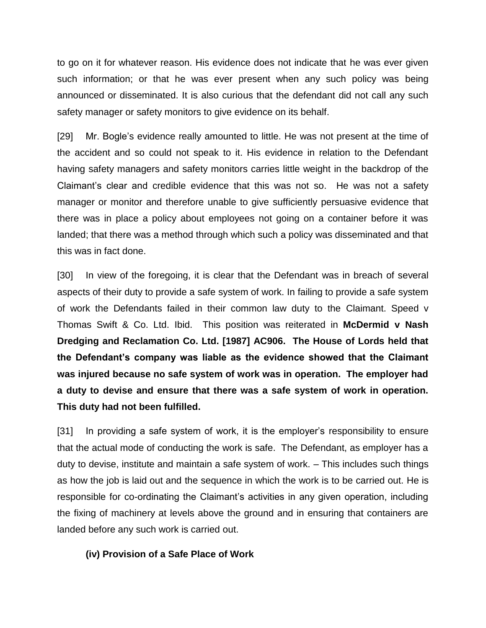to go on it for whatever reason. His evidence does not indicate that he was ever given such information; or that he was ever present when any such policy was being announced or disseminated. It is also curious that the defendant did not call any such safety manager or safety monitors to give evidence on its behalf.

[29] Mr. Bogle's evidence really amounted to little. He was not present at the time of the accident and so could not speak to it. His evidence in relation to the Defendant having safety managers and safety monitors carries little weight in the backdrop of the Claimant's clear and credible evidence that this was not so. He was not a safety manager or monitor and therefore unable to give sufficiently persuasive evidence that there was in place a policy about employees not going on a container before it was landed; that there was a method through which such a policy was disseminated and that this was in fact done.

[30] In view of the foregoing, it is clear that the Defendant was in breach of several aspects of their duty to provide a safe system of work. In failing to provide a safe system of work the Defendants failed in their common law duty to the Claimant. Speed v Thomas Swift & Co. Ltd. Ibid. This position was reiterated in **McDermid v Nash Dredging and Reclamation Co. Ltd. [1987] AC906. The House of Lords held that the Defendant's company was liable as the evidence showed that the Claimant was injured because no safe system of work was in operation. The employer had a duty to devise and ensure that there was a safe system of work in operation. This duty had not been fulfilled.**

[31] In providing a safe system of work, it is the employer's responsibility to ensure that the actual mode of conducting the work is safe. The Defendant, as employer has a duty to devise, institute and maintain a safe system of work. – This includes such things as how the job is laid out and the sequence in which the work is to be carried out. He is responsible for co-ordinating the Claimant's activities in any given operation, including the fixing of machinery at levels above the ground and in ensuring that containers are landed before any such work is carried out.

## **(iv) Provision of a Safe Place of Work**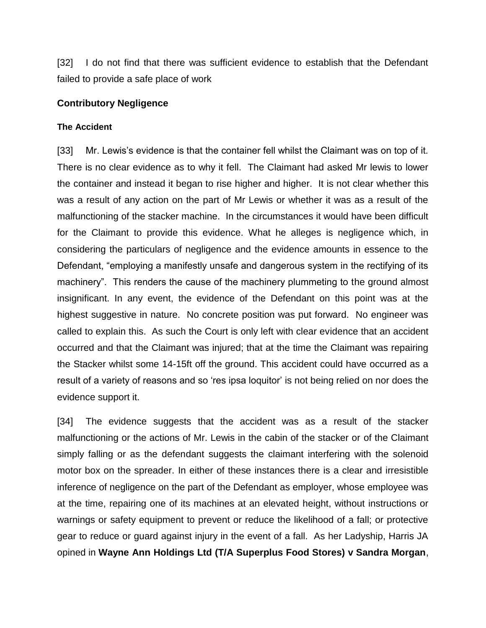[32] I do not find that there was sufficient evidence to establish that the Defendant failed to provide a safe place of work

#### **Contributory Negligence**

#### **The Accident**

[33] Mr. Lewis's evidence is that the container fell whilst the Claimant was on top of it. There is no clear evidence as to why it fell. The Claimant had asked Mr lewis to lower the container and instead it began to rise higher and higher. It is not clear whether this was a result of any action on the part of Mr Lewis or whether it was as a result of the malfunctioning of the stacker machine. In the circumstances it would have been difficult for the Claimant to provide this evidence. What he alleges is negligence which, in considering the particulars of negligence and the evidence amounts in essence to the Defendant, "employing a manifestly unsafe and dangerous system in the rectifying of its machinery". This renders the cause of the machinery plummeting to the ground almost insignificant. In any event, the evidence of the Defendant on this point was at the highest suggestive in nature. No concrete position was put forward. No engineer was called to explain this. As such the Court is only left with clear evidence that an accident occurred and that the Claimant was injured; that at the time the Claimant was repairing the Stacker whilst some 14-15ft off the ground. This accident could have occurred as a result of a variety of reasons and so 'res ipsa loquitor' is not being relied on nor does the evidence support it.

[34] The evidence suggests that the accident was as a result of the stacker malfunctioning or the actions of Mr. Lewis in the cabin of the stacker or of the Claimant simply falling or as the defendant suggests the claimant interfering with the solenoid motor box on the spreader. In either of these instances there is a clear and irresistible inference of negligence on the part of the Defendant as employer, whose employee was at the time, repairing one of its machines at an elevated height, without instructions or warnings or safety equipment to prevent or reduce the likelihood of a fall; or protective gear to reduce or guard against injury in the event of a fall. As her Ladyship, Harris JA opined in **Wayne Ann Holdings Ltd (T/A Superplus Food Stores) v Sandra Morgan**,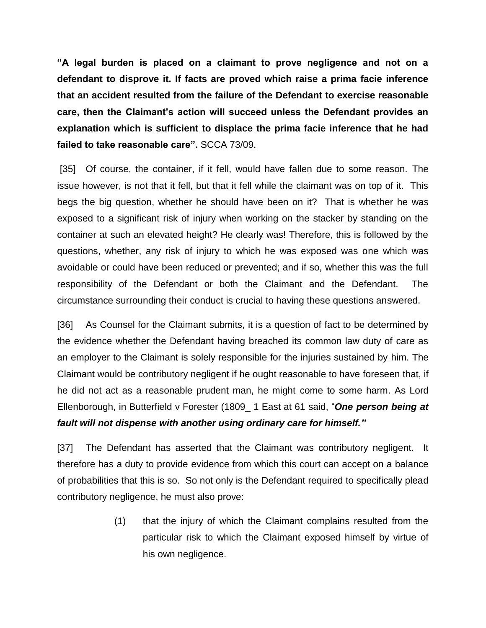**"A legal burden is placed on a claimant to prove negligence and not on a defendant to disprove it. If facts are proved which raise a prima facie inference that an accident resulted from the failure of the Defendant to exercise reasonable care, then the Claimant's action will succeed unless the Defendant provides an explanation which is sufficient to displace the prima facie inference that he had failed to take reasonable care".** SCCA 73/09.

[35] Of course, the container, if it fell, would have fallen due to some reason. The issue however, is not that it fell, but that it fell while the claimant was on top of it. This begs the big question, whether he should have been on it? That is whether he was exposed to a significant risk of injury when working on the stacker by standing on the container at such an elevated height? He clearly was! Therefore, this is followed by the questions, whether, any risk of injury to which he was exposed was one which was avoidable or could have been reduced or prevented; and if so, whether this was the full responsibility of the Defendant or both the Claimant and the Defendant. The circumstance surrounding their conduct is crucial to having these questions answered.

[36] As Counsel for the Claimant submits, it is a question of fact to be determined by the evidence whether the Defendant having breached its common law duty of care as an employer to the Claimant is solely responsible for the injuries sustained by him. The Claimant would be contributory negligent if he ought reasonable to have foreseen that, if he did not act as a reasonable prudent man, he might come to some harm. As Lord Ellenborough, in Butterfield v Forester (1809\_ 1 East at 61 said, "*One person being at fault will not dispense with another using ordinary care for himself."* 

[37] The Defendant has asserted that the Claimant was contributory negligent. It therefore has a duty to provide evidence from which this court can accept on a balance of probabilities that this is so. So not only is the Defendant required to specifically plead contributory negligence, he must also prove:

> (1) that the injury of which the Claimant complains resulted from the particular risk to which the Claimant exposed himself by virtue of his own negligence.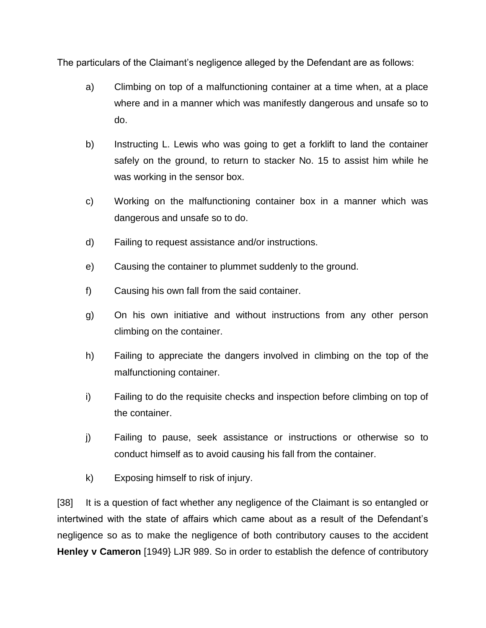The particulars of the Claimant's negligence alleged by the Defendant are as follows:

- a) Climbing on top of a malfunctioning container at a time when, at a place where and in a manner which was manifestly dangerous and unsafe so to do.
- b) Instructing L. Lewis who was going to get a forklift to land the container safely on the ground, to return to stacker No. 15 to assist him while he was working in the sensor box.
- c) Working on the malfunctioning container box in a manner which was dangerous and unsafe so to do.
- d) Failing to request assistance and/or instructions.
- e) Causing the container to plummet suddenly to the ground.
- f) Causing his own fall from the said container.
- g) On his own initiative and without instructions from any other person climbing on the container.
- h) Failing to appreciate the dangers involved in climbing on the top of the malfunctioning container.
- i) Failing to do the requisite checks and inspection before climbing on top of the container.
- j) Failing to pause, seek assistance or instructions or otherwise so to conduct himself as to avoid causing his fall from the container.
- k) Exposing himself to risk of injury.

[38] It is a question of fact whether any negligence of the Claimant is so entangled or intertwined with the state of affairs which came about as a result of the Defendant's negligence so as to make the negligence of both contributory causes to the accident **Henley v Cameron** [1949} LJR 989. So in order to establish the defence of contributory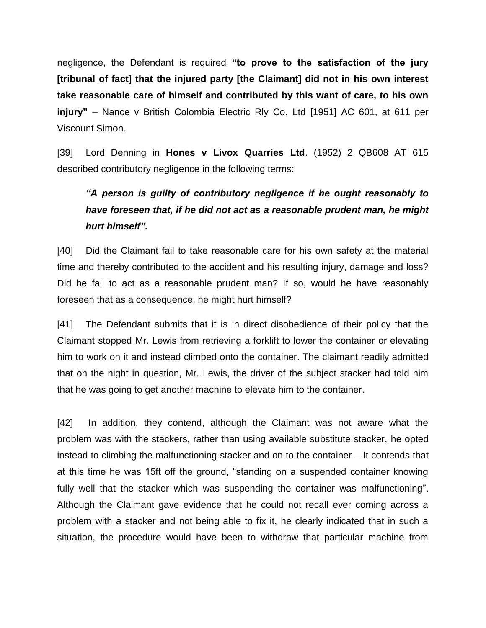negligence, the Defendant is required **"to prove to the satisfaction of the jury [tribunal of fact] that the injured party [the Claimant] did not in his own interest take reasonable care of himself and contributed by this want of care, to his own injury"** – Nance v British Colombia Electric Rly Co. Ltd [1951] AC 601, at 611 per Viscount Simon.

[39] Lord Denning in **Hones v Livox Quarries Ltd**. (1952) 2 QB608 AT 615 described contributory negligence in the following terms:

# *"A person is guilty of contributory negligence if he ought reasonably to have foreseen that, if he did not act as a reasonable prudent man, he might hurt himself".*

[40] Did the Claimant fail to take reasonable care for his own safety at the material time and thereby contributed to the accident and his resulting injury, damage and loss? Did he fail to act as a reasonable prudent man? If so, would he have reasonably foreseen that as a consequence, he might hurt himself?

[41] The Defendant submits that it is in direct disobedience of their policy that the Claimant stopped Mr. Lewis from retrieving a forklift to lower the container or elevating him to work on it and instead climbed onto the container. The claimant readily admitted that on the night in question, Mr. Lewis, the driver of the subject stacker had told him that he was going to get another machine to elevate him to the container.

[42] In addition, they contend, although the Claimant was not aware what the problem was with the stackers, rather than using available substitute stacker, he opted instead to climbing the malfunctioning stacker and on to the container – It contends that at this time he was 15ft off the ground, "standing on a suspended container knowing fully well that the stacker which was suspending the container was malfunctioning". Although the Claimant gave evidence that he could not recall ever coming across a problem with a stacker and not being able to fix it, he clearly indicated that in such a situation, the procedure would have been to withdraw that particular machine from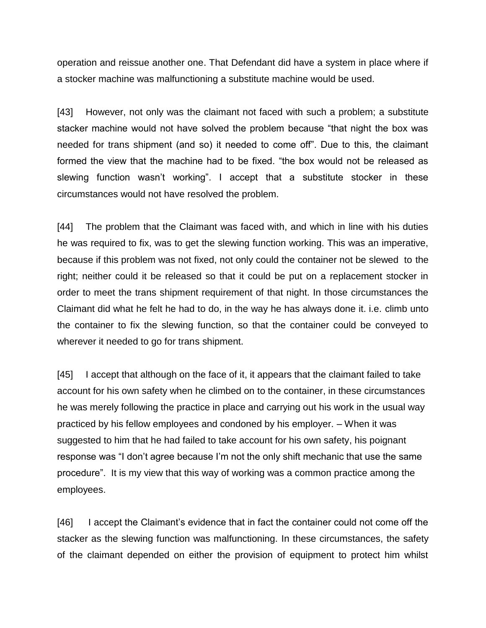operation and reissue another one. That Defendant did have a system in place where if a stocker machine was malfunctioning a substitute machine would be used.

[43] However, not only was the claimant not faced with such a problem; a substitute stacker machine would not have solved the problem because "that night the box was needed for trans shipment (and so) it needed to come off". Due to this, the claimant formed the view that the machine had to be fixed. "the box would not be released as slewing function wasn't working". I accept that a substitute stocker in these circumstances would not have resolved the problem.

[44] The problem that the Claimant was faced with, and which in line with his duties he was required to fix, was to get the slewing function working. This was an imperative, because if this problem was not fixed, not only could the container not be slewed to the right; neither could it be released so that it could be put on a replacement stocker in order to meet the trans shipment requirement of that night. In those circumstances the Claimant did what he felt he had to do, in the way he has always done it. i.e. climb unto the container to fix the slewing function, so that the container could be conveyed to wherever it needed to go for trans shipment.

[45] I accept that although on the face of it, it appears that the claimant failed to take account for his own safety when he climbed on to the container, in these circumstances he was merely following the practice in place and carrying out his work in the usual way practiced by his fellow employees and condoned by his employer. – When it was suggested to him that he had failed to take account for his own safety, his poignant response was "I don't agree because I'm not the only shift mechanic that use the same procedure". It is my view that this way of working was a common practice among the employees.

[46] I accept the Claimant's evidence that in fact the container could not come off the stacker as the slewing function was malfunctioning. In these circumstances, the safety of the claimant depended on either the provision of equipment to protect him whilst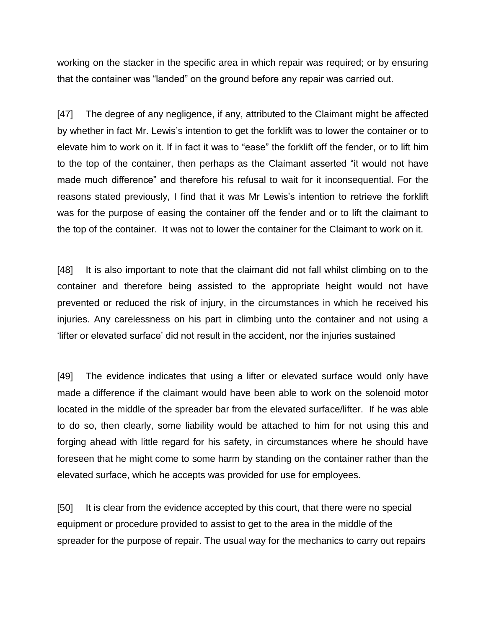working on the stacker in the specific area in which repair was required; or by ensuring that the container was "landed" on the ground before any repair was carried out.

[47] The degree of any negligence, if any, attributed to the Claimant might be affected by whether in fact Mr. Lewis's intention to get the forklift was to lower the container or to elevate him to work on it. If in fact it was to "ease" the forklift off the fender, or to lift him to the top of the container, then perhaps as the Claimant asserted "it would not have made much difference" and therefore his refusal to wait for it inconsequential. For the reasons stated previously, I find that it was Mr Lewis's intention to retrieve the forklift was for the purpose of easing the container off the fender and or to lift the claimant to the top of the container. It was not to lower the container for the Claimant to work on it.

[48] It is also important to note that the claimant did not fall whilst climbing on to the container and therefore being assisted to the appropriate height would not have prevented or reduced the risk of injury, in the circumstances in which he received his injuries. Any carelessness on his part in climbing unto the container and not using a 'lifter or elevated surface' did not result in the accident, nor the injuries sustained

[49] The evidence indicates that using a lifter or elevated surface would only have made a difference if the claimant would have been able to work on the solenoid motor located in the middle of the spreader bar from the elevated surface/lifter. If he was able to do so, then clearly, some liability would be attached to him for not using this and forging ahead with little regard for his safety, in circumstances where he should have foreseen that he might come to some harm by standing on the container rather than the elevated surface, which he accepts was provided for use for employees.

[50] It is clear from the evidence accepted by this court, that there were no special equipment or procedure provided to assist to get to the area in the middle of the spreader for the purpose of repair. The usual way for the mechanics to carry out repairs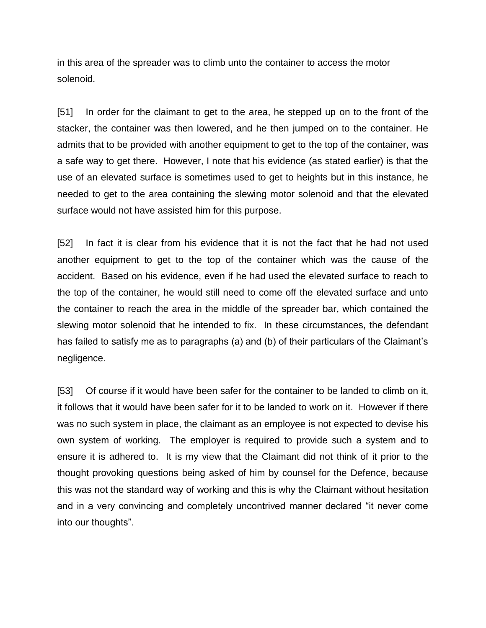in this area of the spreader was to climb unto the container to access the motor solenoid.

[51] In order for the claimant to get to the area, he stepped up on to the front of the stacker, the container was then lowered, and he then jumped on to the container. He admits that to be provided with another equipment to get to the top of the container, was a safe way to get there. However, I note that his evidence (as stated earlier) is that the use of an elevated surface is sometimes used to get to heights but in this instance, he needed to get to the area containing the slewing motor solenoid and that the elevated surface would not have assisted him for this purpose.

[52] In fact it is clear from his evidence that it is not the fact that he had not used another equipment to get to the top of the container which was the cause of the accident. Based on his evidence, even if he had used the elevated surface to reach to the top of the container, he would still need to come off the elevated surface and unto the container to reach the area in the middle of the spreader bar, which contained the slewing motor solenoid that he intended to fix. In these circumstances, the defendant has failed to satisfy me as to paragraphs (a) and (b) of their particulars of the Claimant's negligence.

[53] Of course if it would have been safer for the container to be landed to climb on it, it follows that it would have been safer for it to be landed to work on it. However if there was no such system in place, the claimant as an employee is not expected to devise his own system of working. The employer is required to provide such a system and to ensure it is adhered to. It is my view that the Claimant did not think of it prior to the thought provoking questions being asked of him by counsel for the Defence, because this was not the standard way of working and this is why the Claimant without hesitation and in a very convincing and completely uncontrived manner declared "it never come into our thoughts".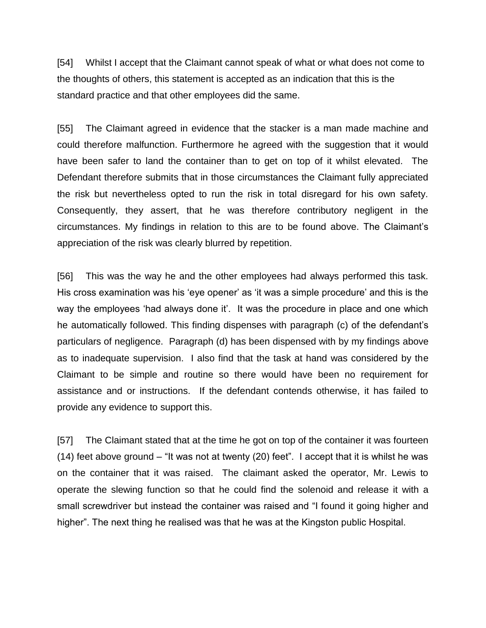[54] Whilst I accept that the Claimant cannot speak of what or what does not come to the thoughts of others, this statement is accepted as an indication that this is the standard practice and that other employees did the same.

[55] The Claimant agreed in evidence that the stacker is a man made machine and could therefore malfunction. Furthermore he agreed with the suggestion that it would have been safer to land the container than to get on top of it whilst elevated. The Defendant therefore submits that in those circumstances the Claimant fully appreciated the risk but nevertheless opted to run the risk in total disregard for his own safety. Consequently, they assert, that he was therefore contributory negligent in the circumstances. My findings in relation to this are to be found above. The Claimant's appreciation of the risk was clearly blurred by repetition.

[56] This was the way he and the other employees had always performed this task. His cross examination was his 'eye opener' as 'it was a simple procedure' and this is the way the employees 'had always done it'. It was the procedure in place and one which he automatically followed. This finding dispenses with paragraph (c) of the defendant's particulars of negligence. Paragraph (d) has been dispensed with by my findings above as to inadequate supervision. I also find that the task at hand was considered by the Claimant to be simple and routine so there would have been no requirement for assistance and or instructions. If the defendant contends otherwise, it has failed to provide any evidence to support this.

[57] The Claimant stated that at the time he got on top of the container it was fourteen (14) feet above ground – "It was not at twenty (20) feet". I accept that it is whilst he was on the container that it was raised. The claimant asked the operator, Mr. Lewis to operate the slewing function so that he could find the solenoid and release it with a small screwdriver but instead the container was raised and "I found it going higher and higher". The next thing he realised was that he was at the Kingston public Hospital.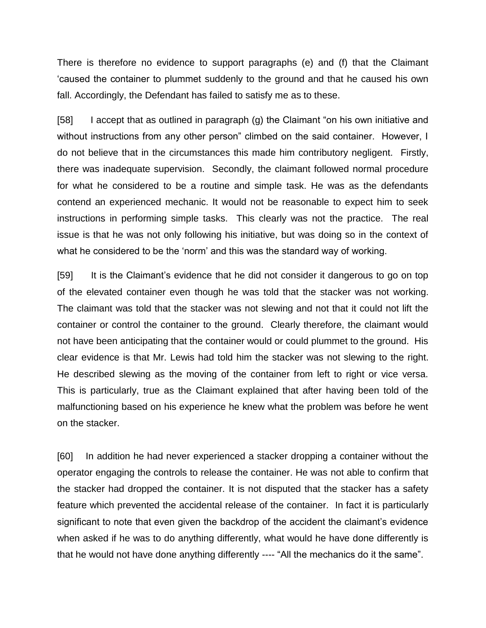There is therefore no evidence to support paragraphs (e) and (f) that the Claimant 'caused the container to plummet suddenly to the ground and that he caused his own fall. Accordingly, the Defendant has failed to satisfy me as to these.

[58] I accept that as outlined in paragraph (g) the Claimant "on his own initiative and without instructions from any other person" climbed on the said container. However, I do not believe that in the circumstances this made him contributory negligent. Firstly, there was inadequate supervision. Secondly, the claimant followed normal procedure for what he considered to be a routine and simple task. He was as the defendants contend an experienced mechanic. It would not be reasonable to expect him to seek instructions in performing simple tasks. This clearly was not the practice. The real issue is that he was not only following his initiative, but was doing so in the context of what he considered to be the 'norm' and this was the standard way of working.

[59] It is the Claimant's evidence that he did not consider it dangerous to go on top of the elevated container even though he was told that the stacker was not working. The claimant was told that the stacker was not slewing and not that it could not lift the container or control the container to the ground. Clearly therefore, the claimant would not have been anticipating that the container would or could plummet to the ground. His clear evidence is that Mr. Lewis had told him the stacker was not slewing to the right. He described slewing as the moving of the container from left to right or vice versa. This is particularly, true as the Claimant explained that after having been told of the malfunctioning based on his experience he knew what the problem was before he went on the stacker.

[60] In addition he had never experienced a stacker dropping a container without the operator engaging the controls to release the container. He was not able to confirm that the stacker had dropped the container. It is not disputed that the stacker has a safety feature which prevented the accidental release of the container. In fact it is particularly significant to note that even given the backdrop of the accident the claimant's evidence when asked if he was to do anything differently, what would he have done differently is that he would not have done anything differently ---- "All the mechanics do it the same".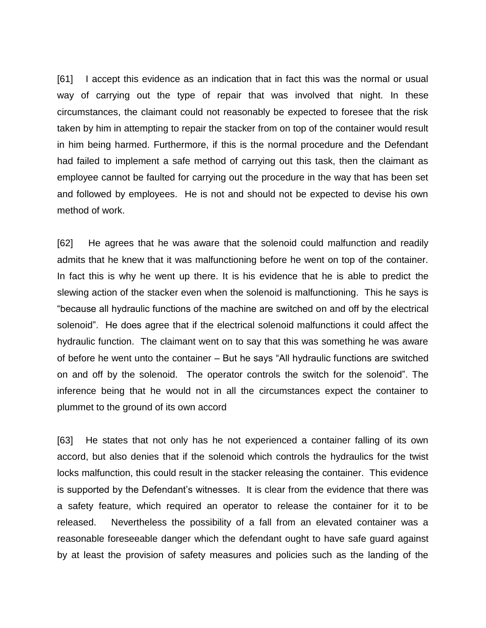[61] I accept this evidence as an indication that in fact this was the normal or usual way of carrying out the type of repair that was involved that night. In these circumstances, the claimant could not reasonably be expected to foresee that the risk taken by him in attempting to repair the stacker from on top of the container would result in him being harmed. Furthermore, if this is the normal procedure and the Defendant had failed to implement a safe method of carrying out this task, then the claimant as employee cannot be faulted for carrying out the procedure in the way that has been set and followed by employees. He is not and should not be expected to devise his own method of work.

[62] He agrees that he was aware that the solenoid could malfunction and readily admits that he knew that it was malfunctioning before he went on top of the container. In fact this is why he went up there. It is his evidence that he is able to predict the slewing action of the stacker even when the solenoid is malfunctioning. This he says is "because all hydraulic functions of the machine are switched on and off by the electrical solenoid". He does agree that if the electrical solenoid malfunctions it could affect the hydraulic function. The claimant went on to say that this was something he was aware of before he went unto the container – But he says "All hydraulic functions are switched on and off by the solenoid. The operator controls the switch for the solenoid". The inference being that he would not in all the circumstances expect the container to plummet to the ground of its own accord

[63] He states that not only has he not experienced a container falling of its own accord, but also denies that if the solenoid which controls the hydraulics for the twist locks malfunction, this could result in the stacker releasing the container. This evidence is supported by the Defendant's witnesses. It is clear from the evidence that there was a safety feature, which required an operator to release the container for it to be released. Nevertheless the possibility of a fall from an elevated container was a reasonable foreseeable danger which the defendant ought to have safe guard against by at least the provision of safety measures and policies such as the landing of the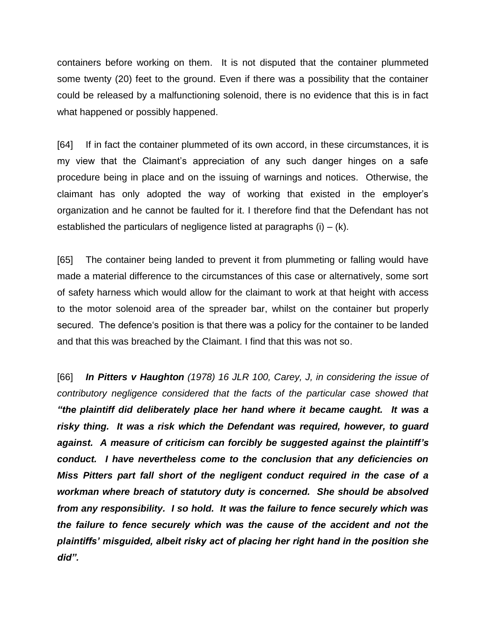containers before working on them. It is not disputed that the container plummeted some twenty (20) feet to the ground. Even if there was a possibility that the container could be released by a malfunctioning solenoid, there is no evidence that this is in fact what happened or possibly happened.

[64] If in fact the container plummeted of its own accord, in these circumstances, it is my view that the Claimant's appreciation of any such danger hinges on a safe procedure being in place and on the issuing of warnings and notices. Otherwise, the claimant has only adopted the way of working that existed in the employer's organization and he cannot be faulted for it. I therefore find that the Defendant has not established the particulars of negligence listed at paragraphs  $(i) - (k)$ .

[65] The container being landed to prevent it from plummeting or falling would have made a material difference to the circumstances of this case or alternatively, some sort of safety harness which would allow for the claimant to work at that height with access to the motor solenoid area of the spreader bar, whilst on the container but properly secured. The defence's position is that there was a policy for the container to be landed and that this was breached by the Claimant. I find that this was not so.

[66] *In Pitters v Haughton (1978) 16 JLR 100, Carey, J, in considering the issue of contributory negligence considered that the facts of the particular case showed that "the plaintiff did deliberately place her hand where it became caught. It was a risky thing. It was a risk which the Defendant was required, however, to guard against. A measure of criticism can forcibly be suggested against the plaintiff's conduct. I have nevertheless come to the conclusion that any deficiencies on Miss Pitters part fall short of the negligent conduct required in the case of a workman where breach of statutory duty is concerned. She should be absolved from any responsibility. I so hold. It was the failure to fence securely which was the failure to fence securely which was the cause of the accident and not the plaintiffs' misguided, albeit risky act of placing her right hand in the position she did".*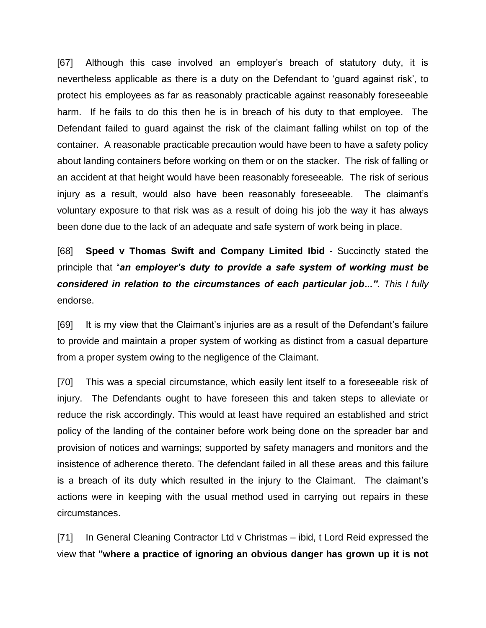[67] Although this case involved an employer's breach of statutory duty, it is nevertheless applicable as there is a duty on the Defendant to 'guard against risk', to protect his employees as far as reasonably practicable against reasonably foreseeable harm. If he fails to do this then he is in breach of his duty to that employee. The Defendant failed to guard against the risk of the claimant falling whilst on top of the container. A reasonable practicable precaution would have been to have a safety policy about landing containers before working on them or on the stacker. The risk of falling or an accident at that height would have been reasonably foreseeable. The risk of serious injury as a result, would also have been reasonably foreseeable. The claimant's voluntary exposure to that risk was as a result of doing his job the way it has always been done due to the lack of an adequate and safe system of work being in place.

[68] **Speed v Thomas Swift and Company Limited Ibid** - Succinctly stated the principle that "*an employer's duty to provide a safe system of working must be considered in relation to the circumstances of each particular job...". This I fully* endorse.

[69] It is my view that the Claimant's injuries are as a result of the Defendant's failure to provide and maintain a proper system of working as distinct from a casual departure from a proper system owing to the negligence of the Claimant.

[70] This was a special circumstance, which easily lent itself to a foreseeable risk of injury. The Defendants ought to have foreseen this and taken steps to alleviate or reduce the risk accordingly. This would at least have required an established and strict policy of the landing of the container before work being done on the spreader bar and provision of notices and warnings; supported by safety managers and monitors and the insistence of adherence thereto. The defendant failed in all these areas and this failure is a breach of its duty which resulted in the injury to the Claimant. The claimant's actions were in keeping with the usual method used in carrying out repairs in these circumstances.

[71] In General Cleaning Contractor Ltd v Christmas – ibid, t Lord Reid expressed the view that **"where a practice of ignoring an obvious danger has grown up it is not**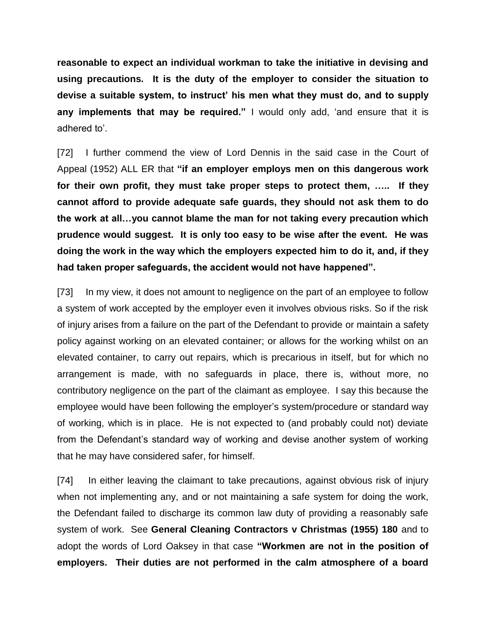**reasonable to expect an individual workman to take the initiative in devising and using precautions. It is the duty of the employer to consider the situation to devise a suitable system, to instruct' his men what they must do, and to supply any implements that may be required."** I would only add, 'and ensure that it is adhered to'.

[72] I further commend the view of Lord Dennis in the said case in the Court of Appeal (1952) ALL ER that **"if an employer employs men on this dangerous work for their own profit, they must take proper steps to protect them, ….. If they cannot afford to provide adequate safe guards, they should not ask them to do the work at all…you cannot blame the man for not taking every precaution which prudence would suggest. It is only too easy to be wise after the event. He was doing the work in the way which the employers expected him to do it, and, if they had taken proper safeguards, the accident would not have happened".**

[73] In my view, it does not amount to negligence on the part of an employee to follow a system of work accepted by the employer even it involves obvious risks. So if the risk of injury arises from a failure on the part of the Defendant to provide or maintain a safety policy against working on an elevated container; or allows for the working whilst on an elevated container, to carry out repairs, which is precarious in itself, but for which no arrangement is made, with no safeguards in place, there is, without more, no contributory negligence on the part of the claimant as employee. I say this because the employee would have been following the employer's system/procedure or standard way of working, which is in place. He is not expected to (and probably could not) deviate from the Defendant's standard way of working and devise another system of working that he may have considered safer, for himself.

[74] In either leaving the claimant to take precautions, against obvious risk of injury when not implementing any, and or not maintaining a safe system for doing the work, the Defendant failed to discharge its common law duty of providing a reasonably safe system of work. See **General Cleaning Contractors v Christmas (1955) 180** and to adopt the words of Lord Oaksey in that case **"Workmen are not in the position of employers. Their duties are not performed in the calm atmosphere of a board**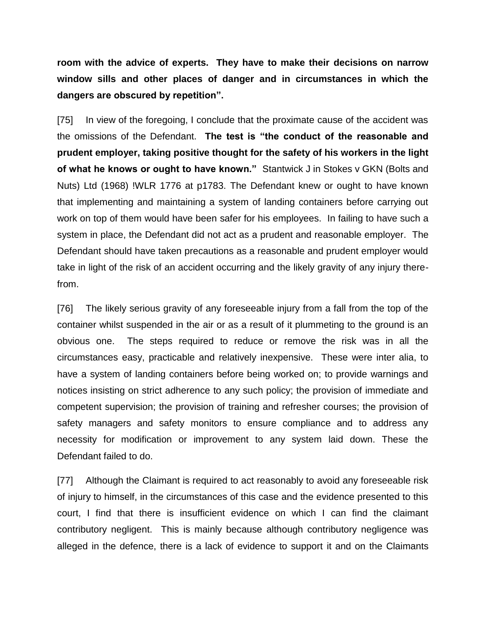**room with the advice of experts. They have to make their decisions on narrow window sills and other places of danger and in circumstances in which the dangers are obscured by repetition".**

[75] In view of the foregoing, I conclude that the proximate cause of the accident was the omissions of the Defendant. **The test is "the conduct of the reasonable and prudent employer, taking positive thought for the safety of his workers in the light of what he knows or ought to have known."** Stantwick J in Stokes v GKN (Bolts and Nuts) Ltd (1968) !WLR 1776 at p1783. The Defendant knew or ought to have known that implementing and maintaining a system of landing containers before carrying out work on top of them would have been safer for his employees. In failing to have such a system in place, the Defendant did not act as a prudent and reasonable employer. The Defendant should have taken precautions as a reasonable and prudent employer would take in light of the risk of an accident occurring and the likely gravity of any injury therefrom.

[76] The likely serious gravity of any foreseeable injury from a fall from the top of the container whilst suspended in the air or as a result of it plummeting to the ground is an obvious one. The steps required to reduce or remove the risk was in all the circumstances easy, practicable and relatively inexpensive. These were inter alia, to have a system of landing containers before being worked on; to provide warnings and notices insisting on strict adherence to any such policy; the provision of immediate and competent supervision; the provision of training and refresher courses; the provision of safety managers and safety monitors to ensure compliance and to address any necessity for modification or improvement to any system laid down. These the Defendant failed to do.

[77] Although the Claimant is required to act reasonably to avoid any foreseeable risk of injury to himself, in the circumstances of this case and the evidence presented to this court, I find that there is insufficient evidence on which I can find the claimant contributory negligent. This is mainly because although contributory negligence was alleged in the defence, there is a lack of evidence to support it and on the Claimants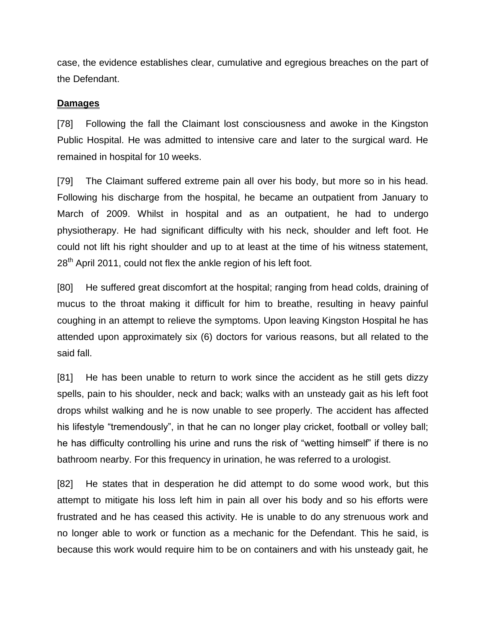case, the evidence establishes clear, cumulative and egregious breaches on the part of the Defendant.

#### **Damages**

[78] Following the fall the Claimant lost consciousness and awoke in the Kingston Public Hospital. He was admitted to intensive care and later to the surgical ward. He remained in hospital for 10 weeks.

[79] The Claimant suffered extreme pain all over his body, but more so in his head. Following his discharge from the hospital, he became an outpatient from January to March of 2009. Whilst in hospital and as an outpatient, he had to undergo physiotherapy. He had significant difficulty with his neck, shoulder and left foot. He could not lift his right shoulder and up to at least at the time of his witness statement, 28<sup>th</sup> April 2011, could not flex the ankle region of his left foot.

[80] He suffered great discomfort at the hospital; ranging from head colds, draining of mucus to the throat making it difficult for him to breathe, resulting in heavy painful coughing in an attempt to relieve the symptoms. Upon leaving Kingston Hospital he has attended upon approximately six (6) doctors for various reasons, but all related to the said fall.

[81] He has been unable to return to work since the accident as he still gets dizzy spells, pain to his shoulder, neck and back; walks with an unsteady gait as his left foot drops whilst walking and he is now unable to see properly. The accident has affected his lifestyle "tremendously", in that he can no longer play cricket, football or volley ball; he has difficulty controlling his urine and runs the risk of "wetting himself" if there is no bathroom nearby. For this frequency in urination, he was referred to a urologist.

[82] He states that in desperation he did attempt to do some wood work, but this attempt to mitigate his loss left him in pain all over his body and so his efforts were frustrated and he has ceased this activity. He is unable to do any strenuous work and no longer able to work or function as a mechanic for the Defendant. This he said, is because this work would require him to be on containers and with his unsteady gait, he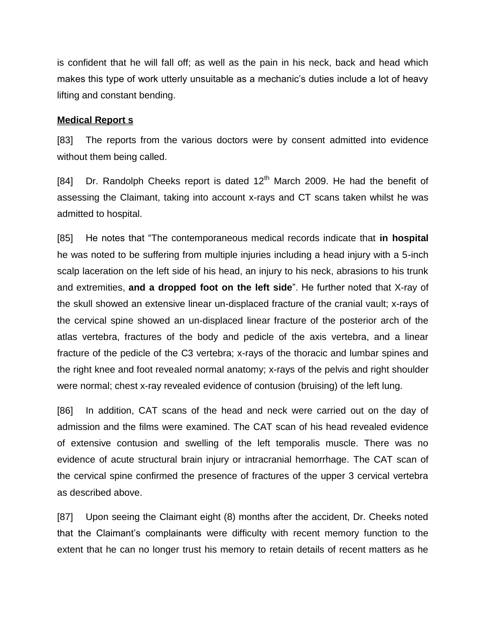is confident that he will fall off; as well as the pain in his neck, back and head which makes this type of work utterly unsuitable as a mechanic's duties include a lot of heavy lifting and constant bending.

#### **Medical Report s**

[83] The reports from the various doctors were by consent admitted into evidence without them being called.

[84] Dr. Randolph Cheeks report is dated  $12<sup>th</sup>$  March 2009. He had the benefit of assessing the Claimant, taking into account x-rays and CT scans taken whilst he was admitted to hospital.

[85] He notes that "The contemporaneous medical records indicate that **in hospital** he was noted to be suffering from multiple injuries including a head injury with a 5-inch scalp laceration on the left side of his head, an injury to his neck, abrasions to his trunk and extremities, **and a dropped foot on the left side**". He further noted that X-ray of the skull showed an extensive linear un-displaced fracture of the cranial vault; x-rays of the cervical spine showed an un-displaced linear fracture of the posterior arch of the atlas vertebra, fractures of the body and pedicle of the axis vertebra, and a linear fracture of the pedicle of the C3 vertebra; x-rays of the thoracic and lumbar spines and the right knee and foot revealed normal anatomy; x-rays of the pelvis and right shoulder were normal; chest x-ray revealed evidence of contusion (bruising) of the left lung.

[86] In addition, CAT scans of the head and neck were carried out on the day of admission and the films were examined. The CAT scan of his head revealed evidence of extensive contusion and swelling of the left temporalis muscle. There was no evidence of acute structural brain injury or intracranial hemorrhage. The CAT scan of the cervical spine confirmed the presence of fractures of the upper 3 cervical vertebra as described above.

[87] Upon seeing the Claimant eight (8) months after the accident, Dr. Cheeks noted that the Claimant's complainants were difficulty with recent memory function to the extent that he can no longer trust his memory to retain details of recent matters as he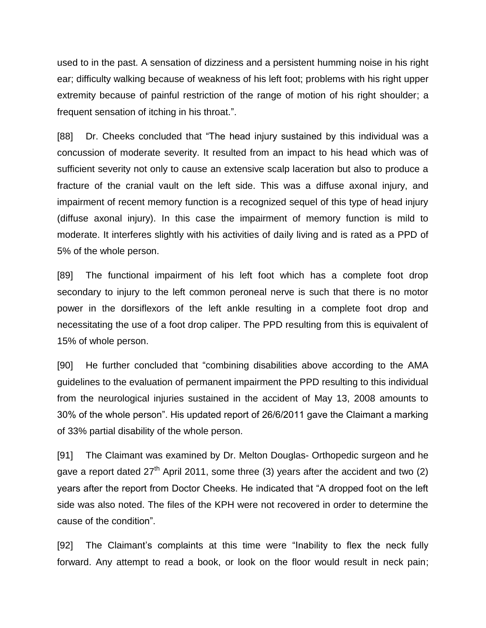used to in the past. A sensation of dizziness and a persistent humming noise in his right ear; difficulty walking because of weakness of his left foot; problems with his right upper extremity because of painful restriction of the range of motion of his right shoulder; a frequent sensation of itching in his throat.".

[88] Dr. Cheeks concluded that "The head injury sustained by this individual was a concussion of moderate severity. It resulted from an impact to his head which was of sufficient severity not only to cause an extensive scalp laceration but also to produce a fracture of the cranial vault on the left side. This was a diffuse axonal injury, and impairment of recent memory function is a recognized sequel of this type of head injury (diffuse axonal injury). In this case the impairment of memory function is mild to moderate. It interferes slightly with his activities of daily living and is rated as a PPD of 5% of the whole person.

[89] The functional impairment of his left foot which has a complete foot drop secondary to injury to the left common peroneal nerve is such that there is no motor power in the dorsiflexors of the left ankle resulting in a complete foot drop and necessitating the use of a foot drop caliper. The PPD resulting from this is equivalent of 15% of whole person.

[90] He further concluded that "combining disabilities above according to the AMA guidelines to the evaluation of permanent impairment the PPD resulting to this individual from the neurological injuries sustained in the accident of May 13, 2008 amounts to 30% of the whole person". His updated report of 26/6/2011 gave the Claimant a marking of 33% partial disability of the whole person.

[91] The Claimant was examined by Dr. Melton Douglas- Orthopedic surgeon and he gave a report dated  $27<sup>th</sup>$  April 2011, some three (3) years after the accident and two (2) years after the report from Doctor Cheeks. He indicated that "A dropped foot on the left side was also noted. The files of the KPH were not recovered in order to determine the cause of the condition".

[92] The Claimant's complaints at this time were "Inability to flex the neck fully forward. Any attempt to read a book, or look on the floor would result in neck pain;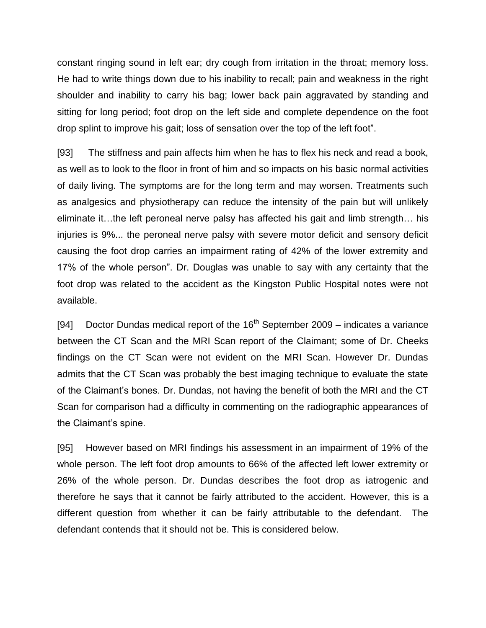constant ringing sound in left ear; dry cough from irritation in the throat; memory loss. He had to write things down due to his inability to recall; pain and weakness in the right shoulder and inability to carry his bag; lower back pain aggravated by standing and sitting for long period; foot drop on the left side and complete dependence on the foot drop splint to improve his gait; loss of sensation over the top of the left foot".

[93] The stiffness and pain affects him when he has to flex his neck and read a book, as well as to look to the floor in front of him and so impacts on his basic normal activities of daily living. The symptoms are for the long term and may worsen. Treatments such as analgesics and physiotherapy can reduce the intensity of the pain but will unlikely eliminate it…the left peroneal nerve palsy has affected his gait and limb strength… his injuries is 9%... the peroneal nerve palsy with severe motor deficit and sensory deficit causing the foot drop carries an impairment rating of 42% of the lower extremity and 17% of the whole person". Dr. Douglas was unable to say with any certainty that the foot drop was related to the accident as the Kingston Public Hospital notes were not available.

[94] Doctor Dundas medical report of the  $16<sup>th</sup>$  September 2009 – indicates a variance between the CT Scan and the MRI Scan report of the Claimant; some of Dr. Cheeks findings on the CT Scan were not evident on the MRI Scan. However Dr. Dundas admits that the CT Scan was probably the best imaging technique to evaluate the state of the Claimant's bones. Dr. Dundas, not having the benefit of both the MRI and the CT Scan for comparison had a difficulty in commenting on the radiographic appearances of the Claimant's spine.

[95] However based on MRI findings his assessment in an impairment of 19% of the whole person. The left foot drop amounts to 66% of the affected left lower extremity or 26% of the whole person. Dr. Dundas describes the foot drop as iatrogenic and therefore he says that it cannot be fairly attributed to the accident. However, this is a different question from whether it can be fairly attributable to the defendant. The defendant contends that it should not be. This is considered below.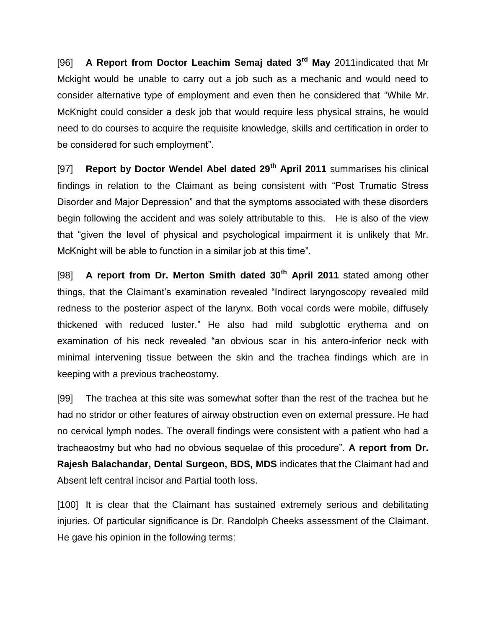[96] **A Report from Doctor Leachim Semaj dated 3rd May** 2011indicated that Mr Mckight would be unable to carry out a job such as a mechanic and would need to consider alternative type of employment and even then he considered that "While Mr. McKnight could consider a desk job that would require less physical strains, he would need to do courses to acquire the requisite knowledge, skills and certification in order to be considered for such employment".

[97] **Report by Doctor Wendel Abel dated 29th April 2011** summarises his clinical findings in relation to the Claimant as being consistent with "Post Trumatic Stress Disorder and Major Depression" and that the symptoms associated with these disorders begin following the accident and was solely attributable to this. He is also of the view that "given the level of physical and psychological impairment it is unlikely that Mr. McKnight will be able to function in a similar job at this time".

[98] **A report from Dr. Merton Smith dated 30th April 2011** stated among other things, that the Claimant's examination revealed "Indirect laryngoscopy revealed mild redness to the posterior aspect of the larynx. Both vocal cords were mobile, diffusely thickened with reduced luster." He also had mild subglottic erythema and on examination of his neck revealed "an obvious scar in his antero-inferior neck with minimal intervening tissue between the skin and the trachea findings which are in keeping with a previous tracheostomy.

[99] The trachea at this site was somewhat softer than the rest of the trachea but he had no stridor or other features of airway obstruction even on external pressure. He had no cervical lymph nodes. The overall findings were consistent with a patient who had a tracheaostmy but who had no obvious sequelae of this procedure". **A report from Dr. Rajesh Balachandar, Dental Surgeon, BDS, MDS** indicates that the Claimant had and Absent left central incisor and Partial tooth loss.

[100] It is clear that the Claimant has sustained extremely serious and debilitating injuries. Of particular significance is Dr. Randolph Cheeks assessment of the Claimant. He gave his opinion in the following terms: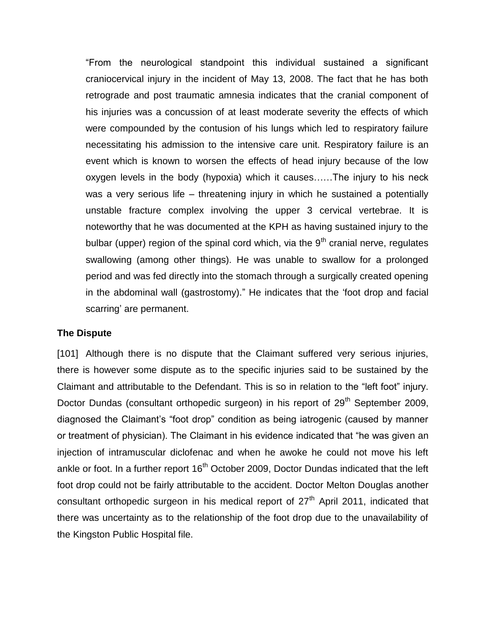"From the neurological standpoint this individual sustained a significant craniocervical injury in the incident of May 13, 2008. The fact that he has both retrograde and post traumatic amnesia indicates that the cranial component of his injuries was a concussion of at least moderate severity the effects of which were compounded by the contusion of his lungs which led to respiratory failure necessitating his admission to the intensive care unit. Respiratory failure is an event which is known to worsen the effects of head injury because of the low oxygen levels in the body (hypoxia) which it causes……The injury to his neck was a very serious life – threatening injury in which he sustained a potentially unstable fracture complex involving the upper 3 cervical vertebrae. It is noteworthy that he was documented at the KPH as having sustained injury to the bulbar (upper) region of the spinal cord which, via the  $9<sup>th</sup>$  cranial nerve, regulates swallowing (among other things). He was unable to swallow for a prolonged period and was fed directly into the stomach through a surgically created opening in the abdominal wall (gastrostomy)." He indicates that the 'foot drop and facial scarring' are permanent.

#### **The Dispute**

[101] Although there is no dispute that the Claimant suffered very serious injuries, there is however some dispute as to the specific injuries said to be sustained by the Claimant and attributable to the Defendant. This is so in relation to the "left foot" injury. Doctor Dundas (consultant orthopedic surgeon) in his report of  $29<sup>th</sup>$  September 2009, diagnosed the Claimant's "foot drop" condition as being iatrogenic (caused by manner or treatment of physician). The Claimant in his evidence indicated that "he was given an injection of intramuscular diclofenac and when he awoke he could not move his left ankle or foot. In a further report  $16<sup>th</sup>$  October 2009, Doctor Dundas indicated that the left foot drop could not be fairly attributable to the accident. Doctor Melton Douglas another consultant orthopedic surgeon in his medical report of  $27<sup>th</sup>$  April 2011, indicated that there was uncertainty as to the relationship of the foot drop due to the unavailability of the Kingston Public Hospital file.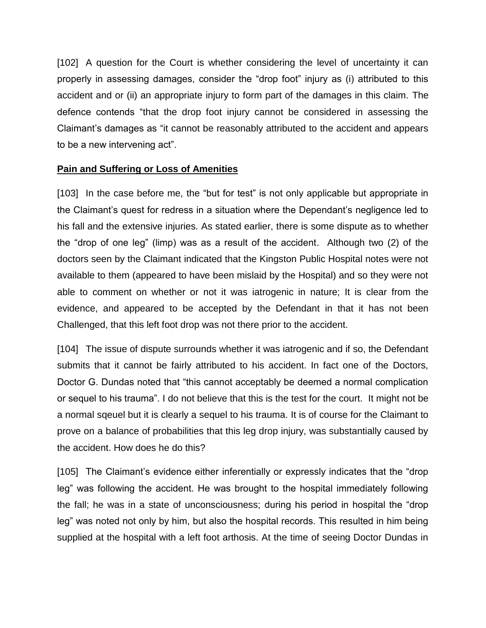[102] A question for the Court is whether considering the level of uncertainty it can properly in assessing damages, consider the "drop foot" injury as (i) attributed to this accident and or (ii) an appropriate injury to form part of the damages in this claim. The defence contends "that the drop foot injury cannot be considered in assessing the Claimant's damages as "it cannot be reasonably attributed to the accident and appears to be a new intervening act".

# **Pain and Suffering or Loss of Amenities**

[103] In the case before me, the "but for test" is not only applicable but appropriate in the Claimant's quest for redress in a situation where the Dependant's negligence led to his fall and the extensive injuries. As stated earlier, there is some dispute as to whether the "drop of one leg" (limp) was as a result of the accident. Although two (2) of the doctors seen by the Claimant indicated that the Kingston Public Hospital notes were not available to them (appeared to have been mislaid by the Hospital) and so they were not able to comment on whether or not it was iatrogenic in nature; It is clear from the evidence, and appeared to be accepted by the Defendant in that it has not been Challenged, that this left foot drop was not there prior to the accident.

[104] The issue of dispute surrounds whether it was iatrogenic and if so, the Defendant submits that it cannot be fairly attributed to his accident. In fact one of the Doctors, Doctor G. Dundas noted that "this cannot acceptably be deemed a normal complication or sequel to his trauma". I do not believe that this is the test for the court. It might not be a normal sqeuel but it is clearly a sequel to his trauma. It is of course for the Claimant to prove on a balance of probabilities that this leg drop injury, was substantially caused by the accident. How does he do this?

[105] The Claimant's evidence either inferentially or expressly indicates that the "drop leg" was following the accident. He was brought to the hospital immediately following the fall; he was in a state of unconsciousness; during his period in hospital the "drop leg" was noted not only by him, but also the hospital records. This resulted in him being supplied at the hospital with a left foot arthosis. At the time of seeing Doctor Dundas in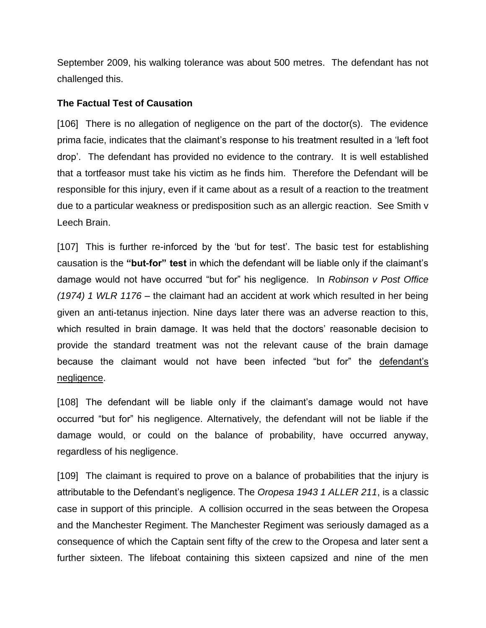September 2009, his walking tolerance was about 500 metres. The defendant has not challenged this.

#### **The Factual Test of Causation**

[106] There is no allegation of negligence on the part of the doctor(s). The evidence prima facie, indicates that the claimant's response to his treatment resulted in a 'left foot drop'. The defendant has provided no evidence to the contrary. It is well established that a tortfeasor must take his victim as he finds him. Therefore the Defendant will be responsible for this injury, even if it came about as a result of a reaction to the treatment due to a particular weakness or predisposition such as an allergic reaction. See Smith v Leech Brain.

[107] This is further re-inforced by the 'but for test'. The basic test for establishing causation is the **"but-for" test** in which the defendant will be liable only if the claimant's damage would not have occurred "but for" his negligence. In *Robinson v Post Office (1974) 1 WLR 1176* – the claimant had an accident at work which resulted in her being given an anti-tetanus injection. Nine days later there was an adverse reaction to this, which resulted in brain damage. It was held that the doctors' reasonable decision to provide the standard treatment was not the relevant cause of the brain damage because the claimant would not have been infected "but for" the defendant's negligence.

[108] The defendant will be liable only if the claimant's damage would not have occurred "but for" his negligence. Alternatively, the defendant will not be liable if the damage would, or could on the balance of probability, have occurred anyway, regardless of his negligence.

[109] The claimant is required to prove on a balance of probabilities that the injury is attributable to the Defendant's negligence. The *Oropesa 1943 1 ALLER 211*, is a classic case in support of this principle. A collision occurred in the seas between the Oropesa and the Manchester Regiment. The Manchester Regiment was seriously damaged as a consequence of which the Captain sent fifty of the crew to the Oropesa and later sent a further sixteen. The lifeboat containing this sixteen capsized and nine of the men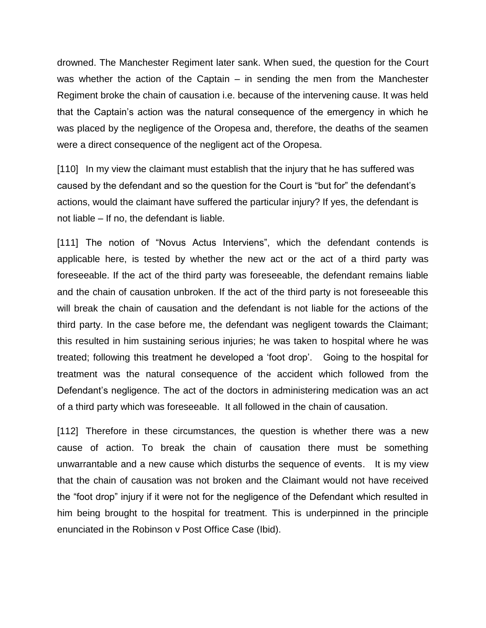drowned. The Manchester Regiment later sank. When sued, the question for the Court was whether the action of the Captain – in sending the men from the Manchester Regiment broke the chain of causation i.e. because of the intervening cause. It was held that the Captain's action was the natural consequence of the emergency in which he was placed by the negligence of the Oropesa and, therefore, the deaths of the seamen were a direct consequence of the negligent act of the Oropesa.

[110] In my view the claimant must establish that the injury that he has suffered was caused by the defendant and so the question for the Court is "but for" the defendant's actions, would the claimant have suffered the particular injury? If yes, the defendant is not liable – If no, the defendant is liable.

[111] The notion of "Novus Actus Interviens", which the defendant contends is applicable here, is tested by whether the new act or the act of a third party was foreseeable. If the act of the third party was foreseeable, the defendant remains liable and the chain of causation unbroken. If the act of the third party is not foreseeable this will break the chain of causation and the defendant is not liable for the actions of the third party. In the case before me, the defendant was negligent towards the Claimant; this resulted in him sustaining serious injuries; he was taken to hospital where he was treated; following this treatment he developed a 'foot drop'. Going to the hospital for treatment was the natural consequence of the accident which followed from the Defendant's negligence. The act of the doctors in administering medication was an act of a third party which was foreseeable. It all followed in the chain of causation.

[112] Therefore in these circumstances, the question is whether there was a new cause of action. To break the chain of causation there must be something unwarrantable and a new cause which disturbs the sequence of events. It is my view that the chain of causation was not broken and the Claimant would not have received the "foot drop" injury if it were not for the negligence of the Defendant which resulted in him being brought to the hospital for treatment. This is underpinned in the principle enunciated in the Robinson v Post Office Case (Ibid).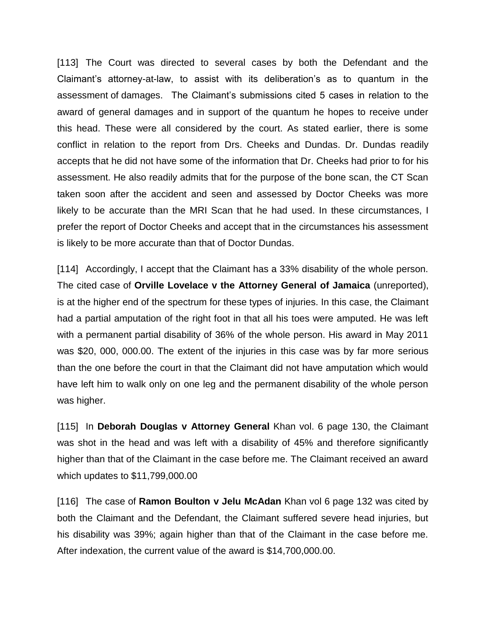[113] The Court was directed to several cases by both the Defendant and the Claimant's attorney-at-law, to assist with its deliberation's as to quantum in the assessment of damages. The Claimant's submissions cited 5 cases in relation to the award of general damages and in support of the quantum he hopes to receive under this head. These were all considered by the court. As stated earlier, there is some conflict in relation to the report from Drs. Cheeks and Dundas. Dr. Dundas readily accepts that he did not have some of the information that Dr. Cheeks had prior to for his assessment. He also readily admits that for the purpose of the bone scan, the CT Scan taken soon after the accident and seen and assessed by Doctor Cheeks was more likely to be accurate than the MRI Scan that he had used. In these circumstances, I prefer the report of Doctor Cheeks and accept that in the circumstances his assessment is likely to be more accurate than that of Doctor Dundas.

[114] Accordingly, I accept that the Claimant has a 33% disability of the whole person. The cited case of **Orville Lovelace v the Attorney General of Jamaica** (unreported), is at the higher end of the spectrum for these types of injuries. In this case, the Claimant had a partial amputation of the right foot in that all his toes were amputed. He was left with a permanent partial disability of 36% of the whole person. His award in May 2011 was \$20, 000, 000.00. The extent of the injuries in this case was by far more serious than the one before the court in that the Claimant did not have amputation which would have left him to walk only on one leg and the permanent disability of the whole person was higher.

[115] In **Deborah Douglas v Attorney General** Khan vol. 6 page 130, the Claimant was shot in the head and was left with a disability of 45% and therefore significantly higher than that of the Claimant in the case before me. The Claimant received an award which updates to \$11,799,000.00

[116] The case of **Ramon Boulton v Jelu McAdan** Khan vol 6 page 132 was cited by both the Claimant and the Defendant, the Claimant suffered severe head injuries, but his disability was 39%; again higher than that of the Claimant in the case before me. After indexation, the current value of the award is \$14,700,000.00.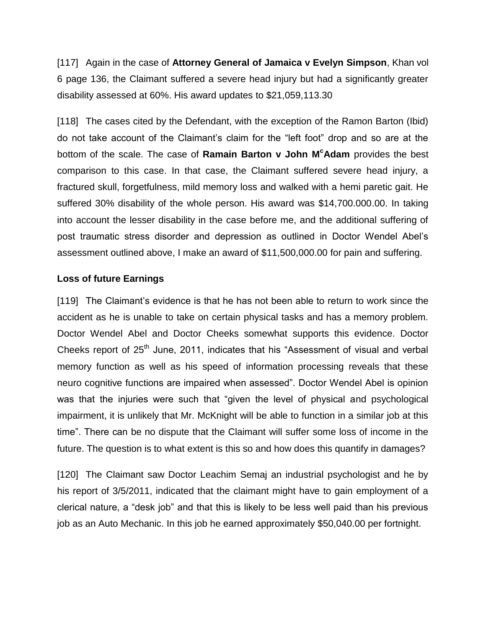[117] Again in the case of **Attorney General of Jamaica v Evelyn Simpson**, Khan vol 6 page 136, the Claimant suffered a severe head injury but had a significantly greater disability assessed at 60%. His award updates to \$21,059,113.30

[118] The cases cited by the Defendant, with the exception of the Ramon Barton (Ibid) do not take account of the Claimant's claim for the "left foot" drop and so are at the bottom of the scale. The case of **Ramain Barton v John M<sup>c</sup>Adam** provides the best comparison to this case. In that case, the Claimant suffered severe head injury, a fractured skull, forgetfulness, mild memory loss and walked with a hemi paretic gait. He suffered 30% disability of the whole person. His award was \$14,700.000.00. In taking into account the lesser disability in the case before me, and the additional suffering of post traumatic stress disorder and depression as outlined in Doctor Wendel Abel's assessment outlined above, I make an award of \$11,500,000.00 for pain and suffering.

## **Loss of future Earnings**

[119] The Claimant's evidence is that he has not been able to return to work since the accident as he is unable to take on certain physical tasks and has a memory problem. Doctor Wendel Abel and Doctor Cheeks somewhat supports this evidence. Doctor Cheeks report of 25<sup>th</sup> June, 2011, indicates that his "Assessment of visual and verbal memory function as well as his speed of information processing reveals that these neuro cognitive functions are impaired when assessed". Doctor Wendel Abel is opinion was that the injuries were such that "given the level of physical and psychological impairment, it is unlikely that Mr. McKnight will be able to function in a similar job at this time". There can be no dispute that the Claimant will suffer some loss of income in the future. The question is to what extent is this so and how does this quantify in damages?

[120] The Claimant saw Doctor Leachim Semaj an industrial psychologist and he by his report of 3/5/2011, indicated that the claimant might have to gain employment of a clerical nature, a "desk job" and that this is likely to be less well paid than his previous job as an Auto Mechanic. In this job he earned approximately \$50,040.00 per fortnight.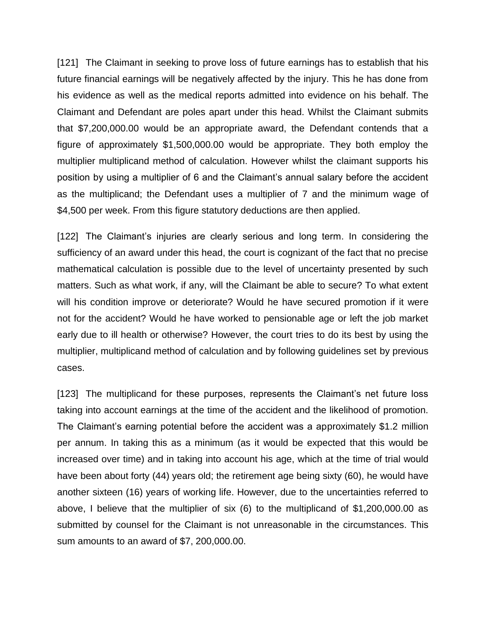[121] The Claimant in seeking to prove loss of future earnings has to establish that his future financial earnings will be negatively affected by the injury. This he has done from his evidence as well as the medical reports admitted into evidence on his behalf. The Claimant and Defendant are poles apart under this head. Whilst the Claimant submits that \$7,200,000.00 would be an appropriate award, the Defendant contends that a figure of approximately \$1,500,000.00 would be appropriate. They both employ the multiplier multiplicand method of calculation. However whilst the claimant supports his position by using a multiplier of 6 and the Claimant's annual salary before the accident as the multiplicand; the Defendant uses a multiplier of 7 and the minimum wage of \$4,500 per week. From this figure statutory deductions are then applied.

[122] The Claimant's injuries are clearly serious and long term. In considering the sufficiency of an award under this head, the court is cognizant of the fact that no precise mathematical calculation is possible due to the level of uncertainty presented by such matters. Such as what work, if any, will the Claimant be able to secure? To what extent will his condition improve or deteriorate? Would he have secured promotion if it were not for the accident? Would he have worked to pensionable age or left the job market early due to ill health or otherwise? However, the court tries to do its best by using the multiplier, multiplicand method of calculation and by following guidelines set by previous cases.

[123] The multiplicand for these purposes, represents the Claimant's net future loss taking into account earnings at the time of the accident and the likelihood of promotion. The Claimant's earning potential before the accident was a approximately \$1.2 million per annum. In taking this as a minimum (as it would be expected that this would be increased over time) and in taking into account his age, which at the time of trial would have been about forty (44) years old; the retirement age being sixty (60), he would have another sixteen (16) years of working life. However, due to the uncertainties referred to above, I believe that the multiplier of six (6) to the multiplicand of \$1,200,000.00 as submitted by counsel for the Claimant is not unreasonable in the circumstances. This sum amounts to an award of \$7, 200,000.00.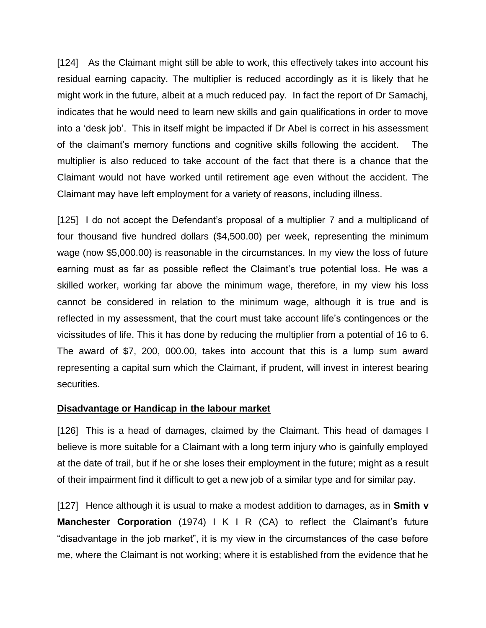[124] As the Claimant might still be able to work, this effectively takes into account his residual earning capacity. The multiplier is reduced accordingly as it is likely that he might work in the future, albeit at a much reduced pay. In fact the report of Dr Samachj, indicates that he would need to learn new skills and gain qualifications in order to move into a 'desk job'. This in itself might be impacted if Dr Abel is correct in his assessment of the claimant's memory functions and cognitive skills following the accident. The multiplier is also reduced to take account of the fact that there is a chance that the Claimant would not have worked until retirement age even without the accident. The Claimant may have left employment for a variety of reasons, including illness.

[125] I do not accept the Defendant's proposal of a multiplier 7 and a multiplicand of four thousand five hundred dollars (\$4,500.00) per week, representing the minimum wage (now \$5,000.00) is reasonable in the circumstances. In my view the loss of future earning must as far as possible reflect the Claimant's true potential loss. He was a skilled worker, working far above the minimum wage, therefore, in my view his loss cannot be considered in relation to the minimum wage, although it is true and is reflected in my assessment, that the court must take account life's contingences or the vicissitudes of life. This it has done by reducing the multiplier from a potential of 16 to 6. The award of \$7, 200, 000.00, takes into account that this is a lump sum award representing a capital sum which the Claimant, if prudent, will invest in interest bearing securities.

## **Disadvantage or Handicap in the labour market**

[126] This is a head of damages, claimed by the Claimant. This head of damages I believe is more suitable for a Claimant with a long term injury who is gainfully employed at the date of trail, but if he or she loses their employment in the future; might as a result of their impairment find it difficult to get a new job of a similar type and for similar pay.

[127] Hence although it is usual to make a modest addition to damages, as in **Smith v Manchester Corporation** (1974) I K I R (CA) to reflect the Claimant's future "disadvantage in the job market", it is my view in the circumstances of the case before me, where the Claimant is not working; where it is established from the evidence that he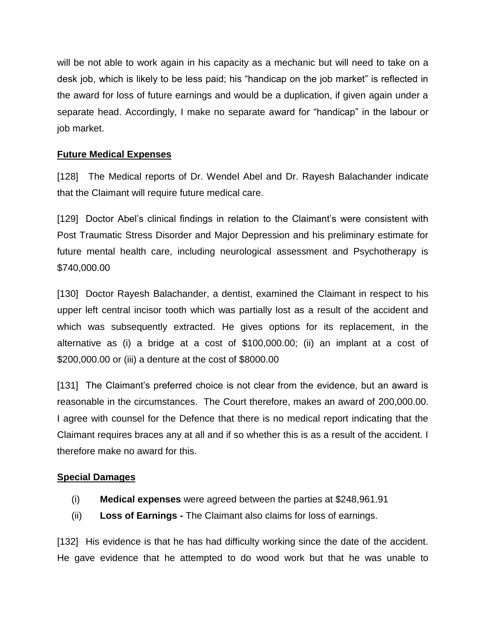will be not able to work again in his capacity as a mechanic but will need to take on a desk job, which is likely to be less paid; his "handicap on the job market" is reflected in the award for loss of future earnings and would be a duplication, if given again under a separate head. Accordingly, I make no separate award for "handicap" in the labour or job market.

# **Future Medical Expenses**

[128] The Medical reports of Dr. Wendel Abel and Dr. Rayesh Balachander indicate that the Claimant will require future medical care.

[129] Doctor Abel's clinical findings in relation to the Claimant's were consistent with Post Traumatic Stress Disorder and Major Depression and his preliminary estimate for future mental health care, including neurological assessment and Psychotherapy is \$740,000.00

[130] Doctor Rayesh Balachander, a dentist, examined the Claimant in respect to his upper left central incisor tooth which was partially lost as a result of the accident and which was subsequently extracted. He gives options for its replacement, in the alternative as (i) a bridge at a cost of \$100,000.00; (ii) an implant at a cost of \$200,000.00 or (iii) a denture at the cost of \$8000.00

[131] The Claimant's preferred choice is not clear from the evidence, but an award is reasonable in the circumstances. The Court therefore, makes an award of 200,000.00. I agree with counsel for the Defence that there is no medical report indicating that the Claimant requires braces any at all and if so whether this is as a result of the accident. I therefore make no award for this.

# **Special Damages**

- (i) **Medical expenses** were agreed between the parties at \$248,961.91
- (ii) **Loss of Earnings -** The Claimant also claims for loss of earnings.

[132] His evidence is that he has had difficulty working since the date of the accident. He gave evidence that he attempted to do wood work but that he was unable to